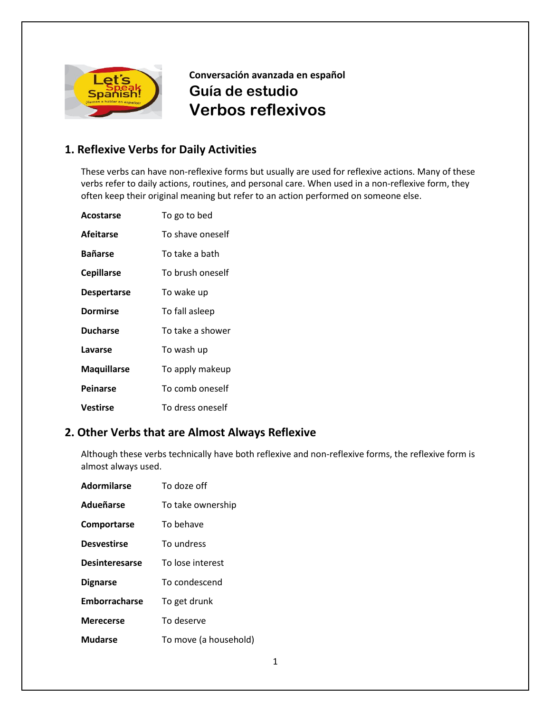

**Conversación avanzada en español Guía de estudio Verbos reflexivos**

### **1. Reflexive Verbs for Daily Activities**

These verbs can have non-reflexive forms but usually are used for reflexive actions. Many of these verbs refer to daily actions, routines, and personal care. When used in a non-reflexive form, they often keep their original meaning but refer to an action performed on someone else.

| Acostarse          | To go to bed     |
|--------------------|------------------|
| <b>Afeitarse</b>   | To shave oneself |
| <b>Bañarse</b>     | To take a bath   |
| <b>Cepillarse</b>  | To brush oneself |
| <b>Despertarse</b> | To wake up       |
| <b>Dormirse</b>    | To fall asleep   |
| <b>Ducharse</b>    | To take a shower |
| Lavarse            | To wash up       |
| <b>Maquillarse</b> | To apply makeup  |
| Peinarse           | To comb oneself  |
| Vestirse           | To dress oneself |

### **2. Other Verbs that are Almost Always Reflexive**

Although these verbs technically have both reflexive and non-reflexive forms, the reflexive form is almost always used.

| <b>Adormilarse</b>    | To doze off           |
|-----------------------|-----------------------|
| Adueñarse             | To take ownership     |
| Comportarse           | To behave             |
| <b>Desvestirse</b>    | To undress            |
| <b>Desinteresarse</b> | To lose interest      |
| <b>Dignarse</b>       | To condescend         |
| Emborracharse         | To get drunk          |
| Merecerse             | To deserve            |
| Mudarse               | To move (a household) |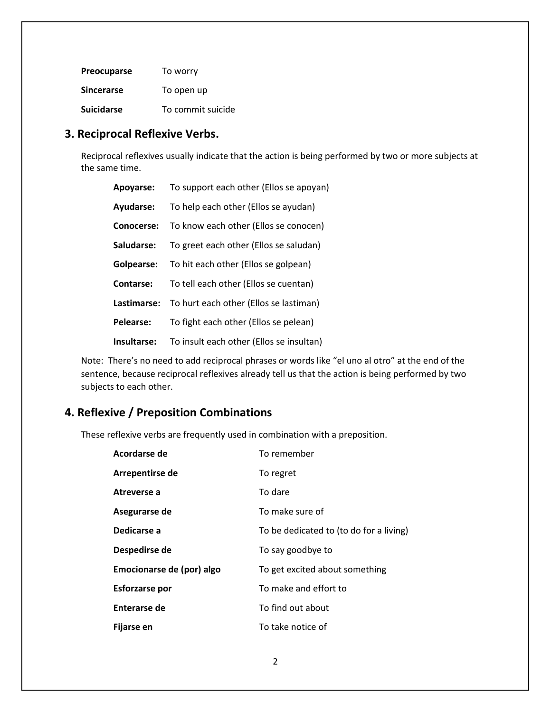| <b>Preocuparse</b> | To worry          |
|--------------------|-------------------|
| <b>Sincerarse</b>  | To open up        |
| <b>Suicidarse</b>  | To commit suicide |

### **3. Reciprocal Reflexive Verbs.**

Reciprocal reflexives usually indicate that the action is being performed by two or more subjects at the same time.

| Apoyarse:   | To support each other (Ellos se apoyan)  |
|-------------|------------------------------------------|
| Ayudarse:   | To help each other (Ellos se ayudan)     |
| Conocerse:  | To know each other (Ellos se conocen)    |
| Saludarse:  | To greet each other (Ellos se saludan)   |
| Golpearse:  | To hit each other (Ellos se golpean)     |
| Contarse:   | To tell each other (Ellos se cuentan)    |
| Lastimarse: | To hurt each other (Ellos se lastiman)   |
| Pelearse:   | To fight each other (Ellos se pelean)    |
| Insultarse: | To insult each other (Ellos se insultan) |

Note: There's no need to add reciprocal phrases or words like "el uno al otro" at the end of the sentence, because reciprocal reflexives already tell us that the action is being performed by two subjects to each other.

## **4. Reflexive / Preposition Combinations**

These reflexive verbs are frequently used in combination with a preposition.

| Acordarse de              | To remember                             |
|---------------------------|-----------------------------------------|
| Arrepentirse de           | To regret                               |
| Atreverse a               | To dare                                 |
| Asegurarse de             | To make sure of                         |
| Dedicarse a               | To be dedicated to (to do for a living) |
| Despedirse de             | To say goodbye to                       |
| Emocionarse de (por) algo | To get excited about something          |
| <b>Esforzarse por</b>     | To make and effort to                   |
| Enterarse de              | To find out about                       |
| Fijarse en                | To take notice of                       |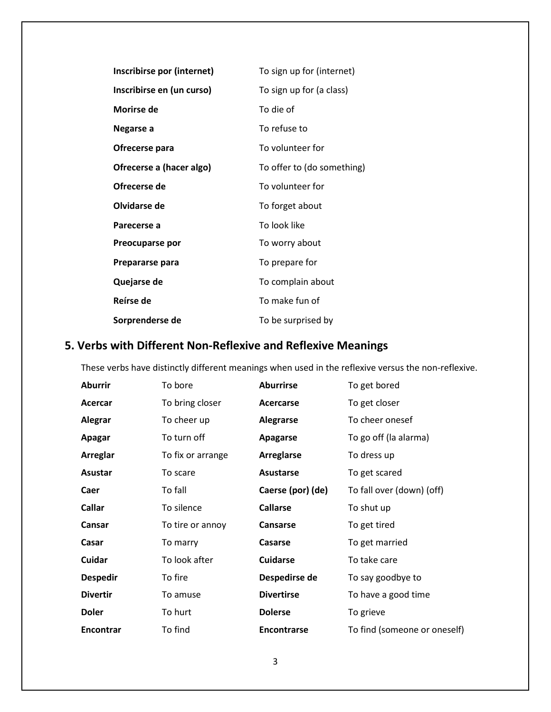| Inscribirse por (internet) | To sign up for (internet)  |
|----------------------------|----------------------------|
| Inscribirse en (un curso)  | To sign up for (a class)   |
| Morirse de                 | To die of                  |
| Negarse a                  | To refuse to               |
| Ofrecerse para             | To volunteer for           |
| Ofrecerse a (hacer algo)   | To offer to (do something) |
| Ofrecerse de               | To volunteer for           |
| Olvidarse de               | To forget about            |
| Parecerse a                | To look like               |
| Preocuparse por            | To worry about             |
| Prepararse para            | To prepare for             |
| Quejarse de                | To complain about          |
| Reírse de                  | To make fun of             |
| Sorprenderse de            | To be surprised by         |

# **5. Verbs with Different Non-Reflexive and Reflexive Meanings**

These verbs have distinctly different meanings when used in the reflexive versus the non-reflexive.

| <b>Aburrir</b>   | To bore           | <b>Aburrirse</b>   | To get bored                 |
|------------------|-------------------|--------------------|------------------------------|
| Acercar          | To bring closer   | Acercarse          | To get closer                |
| Alegrar          | To cheer up       | <b>Alegrarse</b>   | To cheer onesef              |
| Apagar           | To turn off       | <b>Apagarse</b>    | To go off (la alarma)        |
| Arreglar         | To fix or arrange | <b>Arreglarse</b>  | To dress up                  |
| Asustar          | To scare          | <b>Asustarse</b>   | To get scared                |
| Caer             | To fall           | Caerse (por) (de)  | To fall over (down) (off)    |
| <b>Callar</b>    | To silence        | <b>Callarse</b>    | To shut up                   |
| Cansar           | To tire or annoy  | Cansarse           | To get tired                 |
| Casar            | To marry          | Casarse            | To get married               |
| Cuidar           | To look after     | <b>Cuidarse</b>    | To take care                 |
| <b>Despedir</b>  | To fire           | Despedirse de      | To say goodbye to            |
| <b>Divertir</b>  | To amuse          | <b>Divertirse</b>  | To have a good time          |
| <b>Doler</b>     | To hurt           | <b>Dolerse</b>     | To grieve                    |
| <b>Encontrar</b> | To find           | <b>Encontrarse</b> | To find (someone or oneself) |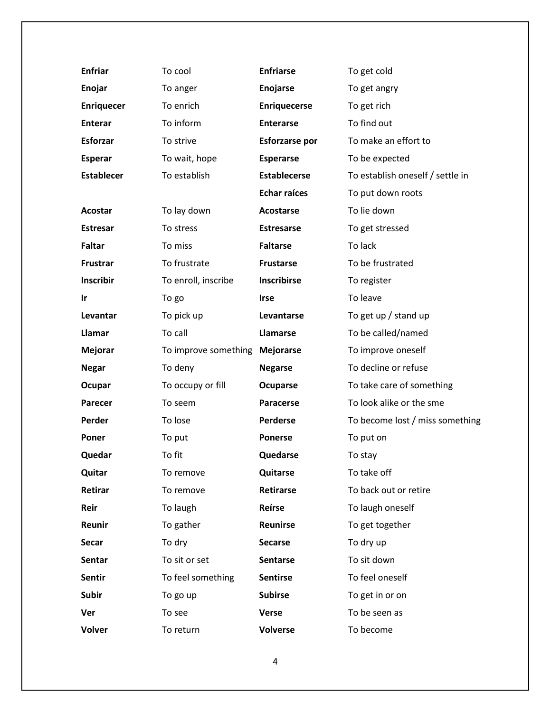| <b>Enfriar</b>    | To cool              | <b>Enfriarse</b>      | To get cold                      |
|-------------------|----------------------|-----------------------|----------------------------------|
| Enojar            | To anger             | Enojarse              | To get angry                     |
| <b>Enriquecer</b> | To enrich            | <b>Enriquecerse</b>   | To get rich                      |
| <b>Enterar</b>    | To inform            | <b>Enterarse</b>      | To find out                      |
| <b>Esforzar</b>   | To strive            | <b>Esforzarse por</b> | To make an effort to             |
| <b>Esperar</b>    | To wait, hope        | <b>Esperarse</b>      | To be expected                   |
| <b>Establecer</b> | To establish         | <b>Establecerse</b>   | To establish oneself / settle in |
|                   |                      | <b>Echar raíces</b>   | To put down roots                |
| Acostar           | To lay down          | Acostarse             | To lie down                      |
| <b>Estresar</b>   | To stress            | <b>Estresarse</b>     | To get stressed                  |
| <b>Faltar</b>     | To miss              | <b>Faltarse</b>       | To lack                          |
| Frustrar          | To frustrate         | <b>Frustarse</b>      | To be frustrated                 |
| <b>Inscribir</b>  | To enroll, inscribe  | <b>Inscribirse</b>    | To register                      |
| <u>Ir</u>         | To go                | <b>Irse</b>           | To leave                         |
| Levantar          | To pick up           | Levantarse            | To get up / stand up             |
| Llamar            | To call              | Llamarse              | To be called/named               |
| <b>Mejorar</b>    | To improve something | <b>Mejorarse</b>      | To improve oneself               |
| <b>Negar</b>      | To deny              | <b>Negarse</b>        | To decline or refuse             |
| Ocupar            | To occupy or fill    | Ocuparse              | To take care of something        |
| <b>Parecer</b>    | To seem              | <b>Paracerse</b>      | To look alike or the sme         |
| Perder            | To lose              | Perderse              | To become lost / miss something  |
| Poner             | To put               | <b>Ponerse</b>        | To put on                        |
| Quedar            | To fit               | Quedarse              | To stay                          |
| Quitar            | To remove            | <b>Quitarse</b>       | To take off                      |
| Retirar           | To remove            | <b>Retirarse</b>      | To back out or retire            |
| Reir              | To laugh             | Reírse                | To laugh oneself                 |
| Reunir            | To gather            | Reunirse              | To get together                  |
| Secar             | To dry               | <b>Secarse</b>        | To dry up                        |
| Sentar            | To sit or set        | Sentarse              | To sit down                      |
| <b>Sentir</b>     | To feel something    | <b>Sentirse</b>       | To feel oneself                  |
| <b>Subir</b>      | To go up             | <b>Subirse</b>        | To get in or on                  |
| Ver               | To see               | <b>Verse</b>          | To be seen as                    |
| <b>Volver</b>     | To return            | <b>Volverse</b>       | To become                        |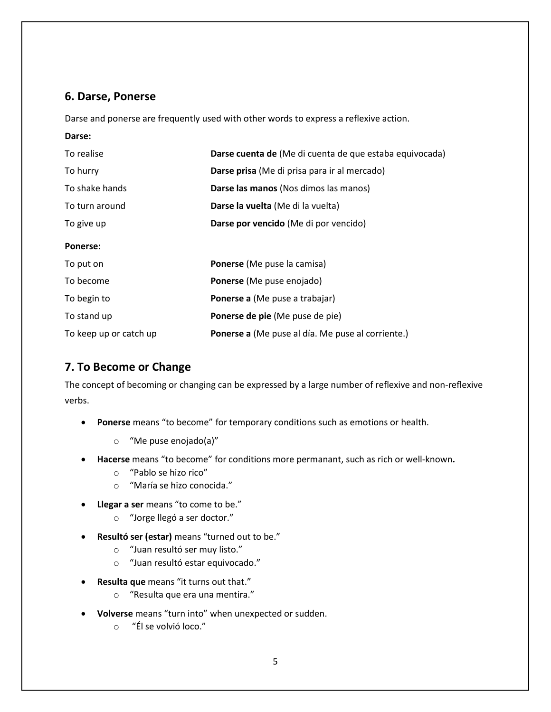### **6. Darse, Ponerse**

Darse and ponerse are frequently used with other words to express a reflexive action.

#### **Darse:**

| To realise             | Darse cuenta de (Me di cuenta de que estaba equivocada) |
|------------------------|---------------------------------------------------------|
| To hurry               | Darse prisa (Me di prisa para ir al mercado)            |
| To shake hands         | Darse las manos (Nos dimos las manos)                   |
| To turn around         | Darse la vuelta (Me di la vuelta)                       |
| To give up             | Darse por vencido (Me di por vencido)                   |
| <b>Ponerse:</b>        |                                                         |
| To put on              | <b>Ponerse</b> (Me puse la camisa)                      |
| To become              | Ponerse (Me puse enojado)                               |
| To begin to            | Ponerse a (Me puse a trabajar)                          |
| To stand up            | Ponerse de pie (Me puse de pie)                         |
| To keep up or catch up | Ponerse a (Me puse al día. Me puse al corriente.)       |

### **7. To Become or Change**

The concept of becoming or changing can be expressed by a large number of reflexive and non-reflexive verbs.

- **Ponerse** means "to become" for temporary conditions such as emotions or health.
	- o "Me puse enojado(a)"
- **Hacerse** means "to become" for conditions more permanant, such as rich or well-known**.**
	- o "Pablo se hizo rico"
	- o "María se hizo conocida."
- **Llegar a ser** means "to come to be."
	- o "Jorge llegó a ser doctor."
- **Resultó ser (estar)** means "turned out to be."
	- o "Juan resultó ser muy listo."
	- o "Juan resultó estar equivocado."
- **Resulta que** means "it turns out that."
	- o "Resulta que era una mentira."
- **Volverse** means "turn into" when unexpected or sudden.
	- o "Él se volvió loco."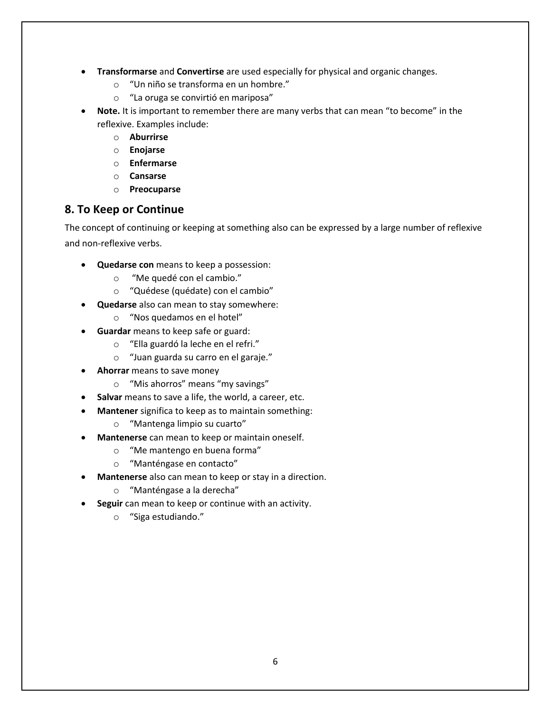- **Transformarse** and **Convertirse** are used especially for physical and organic changes.
	- o "Un niño se transforma en un hombre."
	- o "La oruga se convirtió en mariposa"
- **Note.** It is important to remember there are many verbs that can mean "to become" in the reflexive. Examples include:
	- o **Aburrirse**
	- o **Enojarse**
	- o **Enfermarse**
	- o **Cansarse**
	- o **Preocuparse**

### **8. To Keep or Continue**

The concept of continuing or keeping at something also can be expressed by a large number of reflexive and non-reflexive verbs.

- **Quedarse con** means to keep a possession:
	- o "Me quedé con el cambio."
	- o "Quédese (quédate) con el cambio"
- **Quedarse** also can mean to stay somewhere:
	- o "Nos quedamos en el hotel"
- **Guardar** means to keep safe or guard:
	- o "Ella guardó la leche en el refri."
	- o "Juan guarda su carro en el garaje."
- **Ahorrar** means to save money
	- o "Mis ahorros" means "my savings"
- **Salvar** means to save a life, the world, a career, etc.
- **Mantener** significa to keep as to maintain something:
	- o "Mantenga limpio su cuarto"
- **Mantenerse** can mean to keep or maintain oneself.
	- o "Me mantengo en buena forma"
	- o "Manténgase en contacto"
- **Mantenerse** also can mean to keep or stay in a direction.
	- o "Manténgase a la derecha"
- **Seguir** can mean to keep or continue with an activity.
	- o "Siga estudiando."